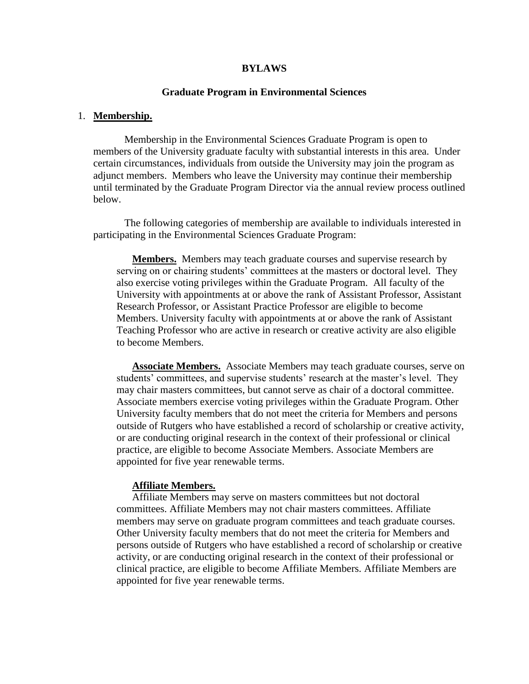#### **BYLAWS**

### **Graduate Program in Environmental Sciences**

#### 1. **Membership.**

Membership in the Environmental Sciences Graduate Program is open to members of the University graduate faculty with substantial interests in this area. Under certain circumstances, individuals from outside the University may join the program as adjunct members. Members who leave the University may continue their membership until terminated by the Graduate Program Director via the annual review process outlined below.

The following categories of membership are available to individuals interested in participating in the Environmental Sciences Graduate Program:

**Members.** Members may teach graduate courses and supervise research by serving on or chairing students' committees at the masters or doctoral level. They also exercise voting privileges within the Graduate Program. All faculty of the University with appointments at or above the rank of Assistant Professor, Assistant Research Professor, or Assistant Practice Professor are eligible to become Members. University faculty with appointments at or above the rank of Assistant Teaching Professor who are active in research or creative activity are also eligible to become Members.

**Associate Members.** Associate Members may teach graduate courses, serve on students' committees, and supervise students' research at the master's level. They may chair masters committees, but cannot serve as chair of a doctoral committee. Associate members exercise voting privileges within the Graduate Program. Other University faculty members that do not meet the criteria for Members and persons outside of Rutgers who have established a record of scholarship or creative activity, or are conducting original research in the context of their professional or clinical practice, are eligible to become Associate Members. Associate Members are appointed for five year renewable terms.

#### **Affiliate Members.**

Affiliate Members may serve on masters committees but not doctoral committees. Affiliate Members may not chair masters committees. Affiliate members may serve on graduate program committees and teach graduate courses. Other University faculty members that do not meet the criteria for Members and persons outside of Rutgers who have established a record of scholarship or creative activity, or are conducting original research in the context of their professional or clinical practice, are eligible to become Affiliate Members. Affiliate Members are appointed for five year renewable terms.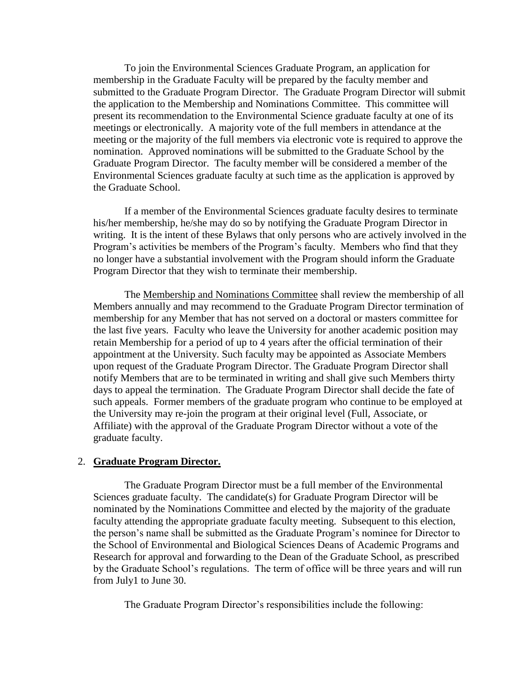To join the Environmental Sciences Graduate Program, an application for membership in the Graduate Faculty will be prepared by the faculty member and submitted to the Graduate Program Director. The Graduate Program Director will submit the application to the Membership and Nominations Committee. This committee will present its recommendation to the Environmental Science graduate faculty at one of its meetings or electronically. A majority vote of the full members in attendance at the meeting or the majority of the full members via electronic vote is required to approve the nomination. Approved nominations will be submitted to the Graduate School by the Graduate Program Director. The faculty member will be considered a member of the Environmental Sciences graduate faculty at such time as the application is approved by the Graduate School.

If a member of the Environmental Sciences graduate faculty desires to terminate his/her membership, he/she may do so by notifying the Graduate Program Director in writing. It is the intent of these Bylaws that only persons who are actively involved in the Program's activities be members of the Program's faculty. Members who find that they no longer have a substantial involvement with the Program should inform the Graduate Program Director that they wish to terminate their membership.

The Membership and Nominations Committee shall review the membership of all Members annually and may recommend to the Graduate Program Director termination of membership for any Member that has not served on a doctoral or masters committee for the last five years. Faculty who leave the University for another academic position may retain Membership for a period of up to 4 years after the official termination of their appointment at the University. Such faculty may be appointed as Associate Members upon request of the Graduate Program Director. The Graduate Program Director shall notify Members that are to be terminated in writing and shall give such Members thirty days to appeal the termination. The Graduate Program Director shall decide the fate of such appeals. Former members of the graduate program who continue to be employed at the University may re-join the program at their original level (Full, Associate, or Affiliate) with the approval of the Graduate Program Director without a vote of the graduate faculty.

### 2. **Graduate Program Director.**

The Graduate Program Director must be a full member of the Environmental Sciences graduate faculty. The candidate(s) for Graduate Program Director will be nominated by the Nominations Committee and elected by the majority of the graduate faculty attending the appropriate graduate faculty meeting. Subsequent to this election, the person's name shall be submitted as the Graduate Program's nominee for Director to the School of Environmental and Biological Sciences Deans of Academic Programs and Research for approval and forwarding to the Dean of the Graduate School, as prescribed by the Graduate School's regulations. The term of office will be three years and will run from July1 to June 30.

The Graduate Program Director's responsibilities include the following: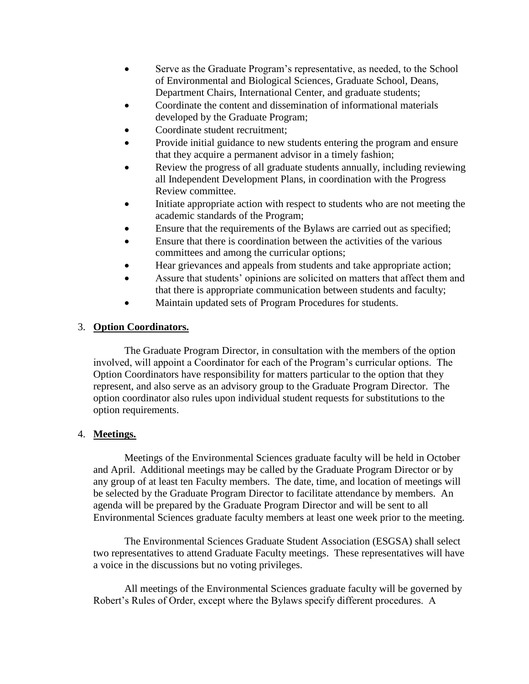- Serve as the Graduate Program's representative, as needed, to the School of Environmental and Biological Sciences, Graduate School, Deans, Department Chairs, International Center, and graduate students;
- Coordinate the content and dissemination of informational materials developed by the Graduate Program;
- Coordinate student recruitment;
- Provide initial guidance to new students entering the program and ensure that they acquire a permanent advisor in a timely fashion;
- Review the progress of all graduate students annually, including reviewing all Independent Development Plans, in coordination with the Progress Review committee.
- Initiate appropriate action with respect to students who are not meeting the academic standards of the Program;
- Ensure that the requirements of the Bylaws are carried out as specified;
- Ensure that there is coordination between the activities of the various committees and among the curricular options;
- Hear grievances and appeals from students and take appropriate action;
- Assure that students' opinions are solicited on matters that affect them and that there is appropriate communication between students and faculty;
- Maintain updated sets of Program Procedures for students.

# 3. **Option Coordinators.**

The Graduate Program Director, in consultation with the members of the option involved, will appoint a Coordinator for each of the Program's curricular options. The Option Coordinators have responsibility for matters particular to the option that they represent, and also serve as an advisory group to the Graduate Program Director. The option coordinator also rules upon individual student requests for substitutions to the option requirements.

# 4. **Meetings.**

Meetings of the Environmental Sciences graduate faculty will be held in October and April. Additional meetings may be called by the Graduate Program Director or by any group of at least ten Faculty members. The date, time, and location of meetings will be selected by the Graduate Program Director to facilitate attendance by members. An agenda will be prepared by the Graduate Program Director and will be sent to all Environmental Sciences graduate faculty members at least one week prior to the meeting.

The Environmental Sciences Graduate Student Association (ESGSA) shall select two representatives to attend Graduate Faculty meetings. These representatives will have a voice in the discussions but no voting privileges.

All meetings of the Environmental Sciences graduate faculty will be governed by Robert's Rules of Order, except where the Bylaws specify different procedures. A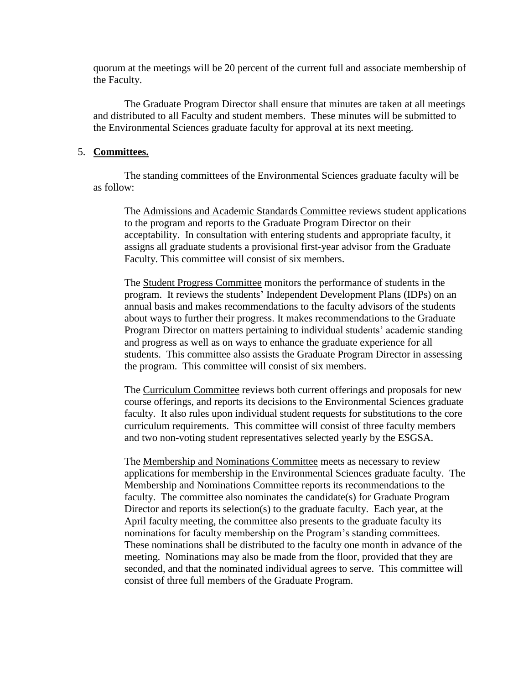quorum at the meetings will be 20 percent of the current full and associate membership of the Faculty.

The Graduate Program Director shall ensure that minutes are taken at all meetings and distributed to all Faculty and student members. These minutes will be submitted to the Environmental Sciences graduate faculty for approval at its next meeting.

## 5. **Committees.**

The standing committees of the Environmental Sciences graduate faculty will be as follow:

The Admissions and Academic Standards Committee reviews student applications to the program and reports to the Graduate Program Director on their acceptability. In consultation with entering students and appropriate faculty, it assigns all graduate students a provisional first-year advisor from the Graduate Faculty. This committee will consist of six members.

The Student Progress Committee monitors the performance of students in the program. It reviews the students' Independent Development Plans (IDPs) on an annual basis and makes recommendations to the faculty advisors of the students about ways to further their progress. It makes recommendations to the Graduate Program Director on matters pertaining to individual students' academic standing and progress as well as on ways to enhance the graduate experience for all students. This committee also assists the Graduate Program Director in assessing the program. This committee will consist of six members.

The Curriculum Committee reviews both current offerings and proposals for new course offerings, and reports its decisions to the Environmental Sciences graduate faculty. It also rules upon individual student requests for substitutions to the core curriculum requirements. This committee will consist of three faculty members and two non-voting student representatives selected yearly by the ESGSA.

The Membership and Nominations Committee meets as necessary to review applications for membership in the Environmental Sciences graduate faculty. The Membership and Nominations Committee reports its recommendations to the faculty. The committee also nominates the candidate(s) for Graduate Program Director and reports its selection(s) to the graduate faculty. Each year, at the April faculty meeting, the committee also presents to the graduate faculty its nominations for faculty membership on the Program's standing committees. These nominations shall be distributed to the faculty one month in advance of the meeting. Nominations may also be made from the floor, provided that they are seconded, and that the nominated individual agrees to serve. This committee will consist of three full members of the Graduate Program.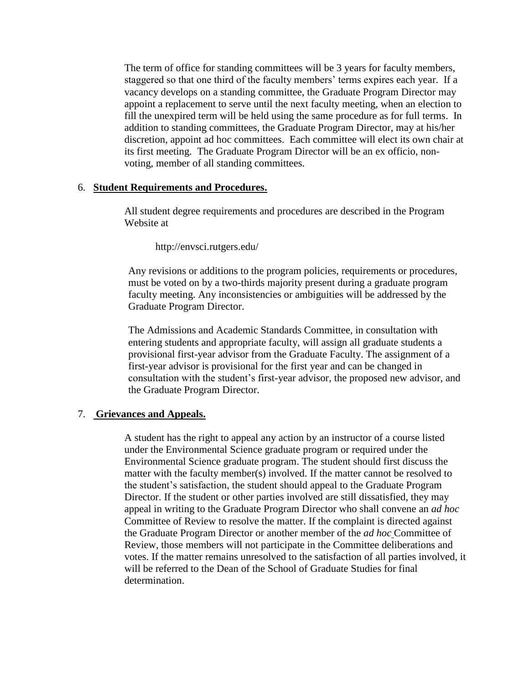The term of office for standing committees will be 3 years for faculty members, staggered so that one third of the faculty members' terms expires each year. If a vacancy develops on a standing committee, the Graduate Program Director may appoint a replacement to serve until the next faculty meeting, when an election to fill the unexpired term will be held using the same procedure as for full terms. In addition to standing committees, the Graduate Program Director, may at his/her discretion, appoint ad hoc committees. Each committee will elect its own chair at its first meeting. The Graduate Program Director will be an ex officio, nonvoting, member of all standing committees.

## 6. **Student Requirements and Procedures.**

All student degree requirements and procedures are described in the Program Website at

http://envsci.rutgers.edu/

Any revisions or additions to the program policies, requirements or procedures, must be voted on by a two-thirds majority present during a graduate program faculty meeting. Any inconsistencies or ambiguities will be addressed by the Graduate Program Director.

The Admissions and Academic Standards Committee, in consultation with entering students and appropriate faculty, will assign all graduate students a provisional first-year advisor from the Graduate Faculty. The assignment of a first-year advisor is provisional for the first year and can be changed in consultation with the student's first-year advisor, the proposed new advisor, and the Graduate Program Director.

## 7. **Grievances and Appeals.**

A student has the right to appeal any action by an instructor of a course listed under the Environmental Science graduate program or required under the Environmental Science graduate program. The student should first discuss the matter with the faculty member(s) involved. If the matter cannot be resolved to the student's satisfaction, the student should appeal to the Graduate Program Director. If the student or other parties involved are still dissatisfied, they may appeal in writing to the Graduate Program Director who shall convene an *ad hoc* Committee of Review to resolve the matter. If the complaint is directed against the Graduate Program Director or another member of the *ad hoc* Committee of Review, those members will not participate in the Committee deliberations and votes. If the matter remains unresolved to the satisfaction of all parties involved, it will be referred to the Dean of the School of Graduate Studies for final determination.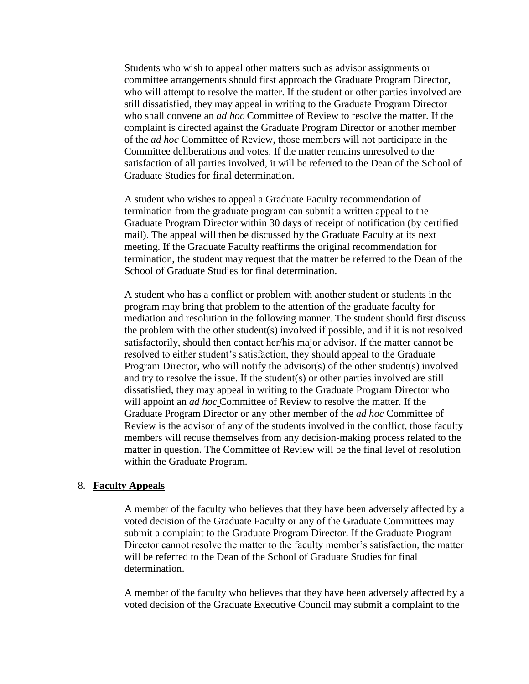Students who wish to appeal other matters such as advisor assignments or committee arrangements should first approach the Graduate Program Director, who will attempt to resolve the matter. If the student or other parties involved are still dissatisfied, they may appeal in writing to the Graduate Program Director who shall convene an *ad hoc* Committee of Review to resolve the matter. If the complaint is directed against the Graduate Program Director or another member of the *ad hoc* Committee of Review, those members will not participate in the Committee deliberations and votes. If the matter remains unresolved to the satisfaction of all parties involved, it will be referred to the Dean of the School of Graduate Studies for final determination.

A student who wishes to appeal a Graduate Faculty recommendation of termination from the graduate program can submit a written appeal to the Graduate Program Director within 30 days of receipt of notification (by certified mail). The appeal will then be discussed by the Graduate Faculty at its next meeting. If the Graduate Faculty reaffirms the original recommendation for termination, the student may request that the matter be referred to the Dean of the School of Graduate Studies for final determination.

A student who has a conflict or problem with another student or students in the program may bring that problem to the attention of the graduate faculty for mediation and resolution in the following manner. The student should first discuss the problem with the other student(s) involved if possible, and if it is not resolved satisfactorily, should then contact her/his major advisor. If the matter cannot be resolved to either student's satisfaction, they should appeal to the Graduate Program Director, who will notify the advisor(s) of the other student(s) involved and try to resolve the issue. If the student(s) or other parties involved are still dissatisfied, they may appeal in writing to the Graduate Program Director who will appoint an *ad hoc* Committee of Review to resolve the matter. If the Graduate Program Director or any other member of the *ad hoc* Committee of Review is the advisor of any of the students involved in the conflict, those faculty members will recuse themselves from any decision-making process related to the matter in question. The Committee of Review will be the final level of resolution within the Graduate Program.

### 8. **Faculty Appeals**

A member of the faculty who believes that they have been adversely affected by a voted decision of the Graduate Faculty or any of the Graduate Committees may submit a complaint to the Graduate Program Director. If the Graduate Program Director cannot resolve the matter to the faculty member's satisfaction, the matter will be referred to the Dean of the School of Graduate Studies for final determination.

A member of the faculty who believes that they have been adversely affected by a voted decision of the Graduate Executive Council may submit a complaint to the